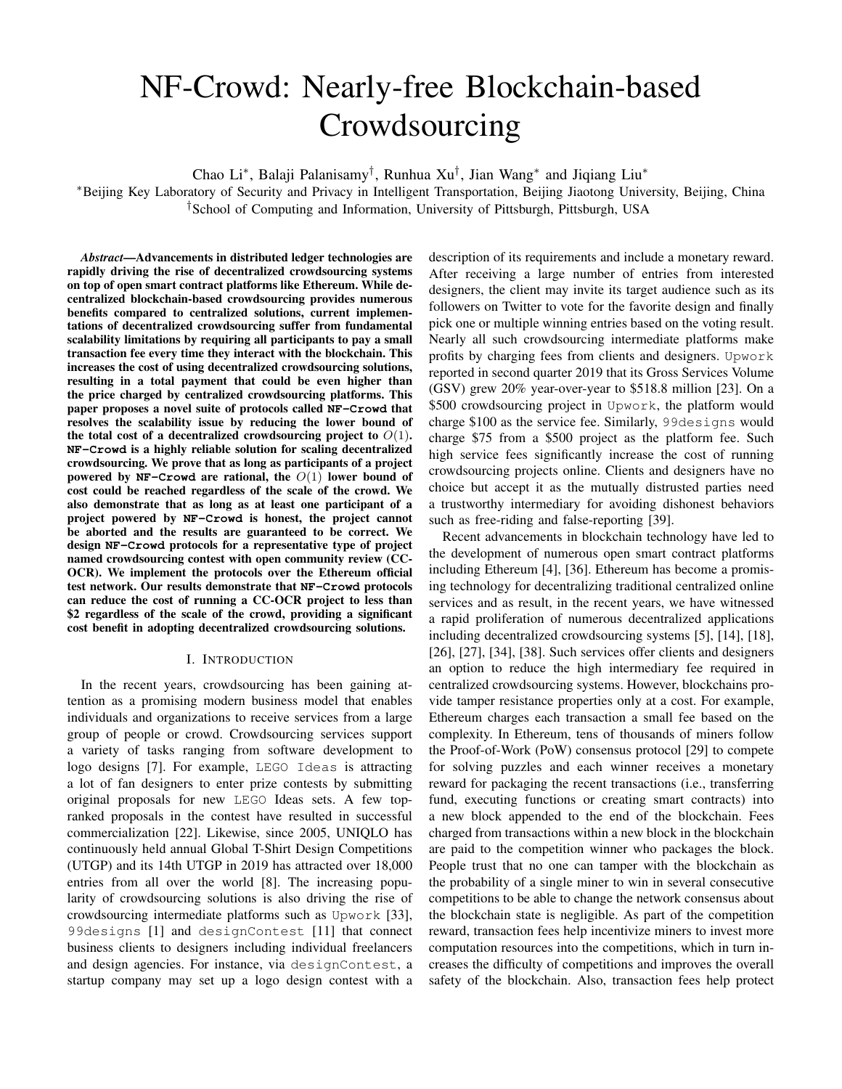# NF-Crowd: Nearly-free Blockchain-based Crowdsourcing

Chao Li<sup>∗</sup> , Balaji Palanisamy† , Runhua Xu† , Jian Wang<sup>∗</sup> and Jiqiang Liu<sup>∗</sup>

<sup>∗</sup>Beijing Key Laboratory of Security and Privacy in Intelligent Transportation, Beijing Jiaotong University, Beijing, China †School of Computing and Information, University of Pittsburgh, Pittsburgh, USA

*Abstract*—Advancements in distributed ledger technologies are rapidly driving the rise of decentralized crowdsourcing systems on top of open smart contract platforms like Ethereum. While decentralized blockchain-based crowdsourcing provides numerous benefits compared to centralized solutions, current implementations of decentralized crowdsourcing suffer from fundamental scalability limitations by requiring all participants to pay a small transaction fee every time they interact with the blockchain. This increases the cost of using decentralized crowdsourcing solutions, resulting in a total payment that could be even higher than the price charged by centralized crowdsourcing platforms. This paper proposes a novel suite of protocols called **NF-Crowd** that resolves the scalability issue by reducing the lower bound of the total cost of a decentralized crowdsourcing project to  $O(1)$ . **NF-Crowd** is a highly reliable solution for scaling decentralized crowdsourcing. We prove that as long as participants of a project powered by  $NF$ -Crowd are rational, the  $O(1)$  lower bound of cost could be reached regardless of the scale of the crowd. We also demonstrate that as long as at least one participant of a project powered by **NF-Crowd** is honest, the project cannot be aborted and the results are guaranteed to be correct. We design **NF-Crowd** protocols for a representative type of project named crowdsourcing contest with open community review (CC-OCR). We implement the protocols over the Ethereum official test network. Our results demonstrate that **NF-Crowd** protocols can reduce the cost of running a CC-OCR project to less than \$2 regardless of the scale of the crowd, providing a significant cost benefit in adopting decentralized crowdsourcing solutions.

#### I. INTRODUCTION

In the recent years, crowdsourcing has been gaining attention as a promising modern business model that enables individuals and organizations to receive services from a large group of people or crowd. Crowdsourcing services support a variety of tasks ranging from software development to logo designs [7]. For example, LEGO Ideas is attracting a lot of fan designers to enter prize contests by submitting original proposals for new LEGO Ideas sets. A few topranked proposals in the contest have resulted in successful commercialization [22]. Likewise, since 2005, UNIQLO has continuously held annual Global T-Shirt Design Competitions (UTGP) and its 14th UTGP in 2019 has attracted over 18,000 entries from all over the world [8]. The increasing popularity of crowdsourcing solutions is also driving the rise of crowdsourcing intermediate platforms such as Upwork [33], 99designs [1] and designContest [11] that connect business clients to designers including individual freelancers and design agencies. For instance, via designContest, a startup company may set up a logo design contest with a

description of its requirements and include a monetary reward. After receiving a large number of entries from interested designers, the client may invite its target audience such as its followers on Twitter to vote for the favorite design and finally pick one or multiple winning entries based on the voting result. Nearly all such crowdsourcing intermediate platforms make profits by charging fees from clients and designers. Upwork reported in second quarter 2019 that its Gross Services Volume (GSV) grew 20% year-over-year to \$518.8 million [23]. On a \$500 crowdsourcing project in Upwork, the platform would charge \$100 as the service fee. Similarly, 99designs would charge \$75 from a \$500 project as the platform fee. Such high service fees significantly increase the cost of running crowdsourcing projects online. Clients and designers have no choice but accept it as the mutually distrusted parties need a trustworthy intermediary for avoiding dishonest behaviors such as free-riding and false-reporting [39].

Recent advancements in blockchain technology have led to the development of numerous open smart contract platforms including Ethereum [4], [36]. Ethereum has become a promising technology for decentralizing traditional centralized online services and as result, in the recent years, we have witnessed a rapid proliferation of numerous decentralized applications including decentralized crowdsourcing systems [5], [14], [18], [26], [27], [34], [38]. Such services offer clients and designers an option to reduce the high intermediary fee required in centralized crowdsourcing systems. However, blockchains provide tamper resistance properties only at a cost. For example, Ethereum charges each transaction a small fee based on the complexity. In Ethereum, tens of thousands of miners follow the Proof-of-Work (PoW) consensus protocol [29] to compete for solving puzzles and each winner receives a monetary reward for packaging the recent transactions (i.e., transferring fund, executing functions or creating smart contracts) into a new block appended to the end of the blockchain. Fees charged from transactions within a new block in the blockchain are paid to the competition winner who packages the block. People trust that no one can tamper with the blockchain as the probability of a single miner to win in several consecutive competitions to be able to change the network consensus about the blockchain state is negligible. As part of the competition reward, transaction fees help incentivize miners to invest more computation resources into the competitions, which in turn increases the difficulty of competitions and improves the overall safety of the blockchain. Also, transaction fees help protect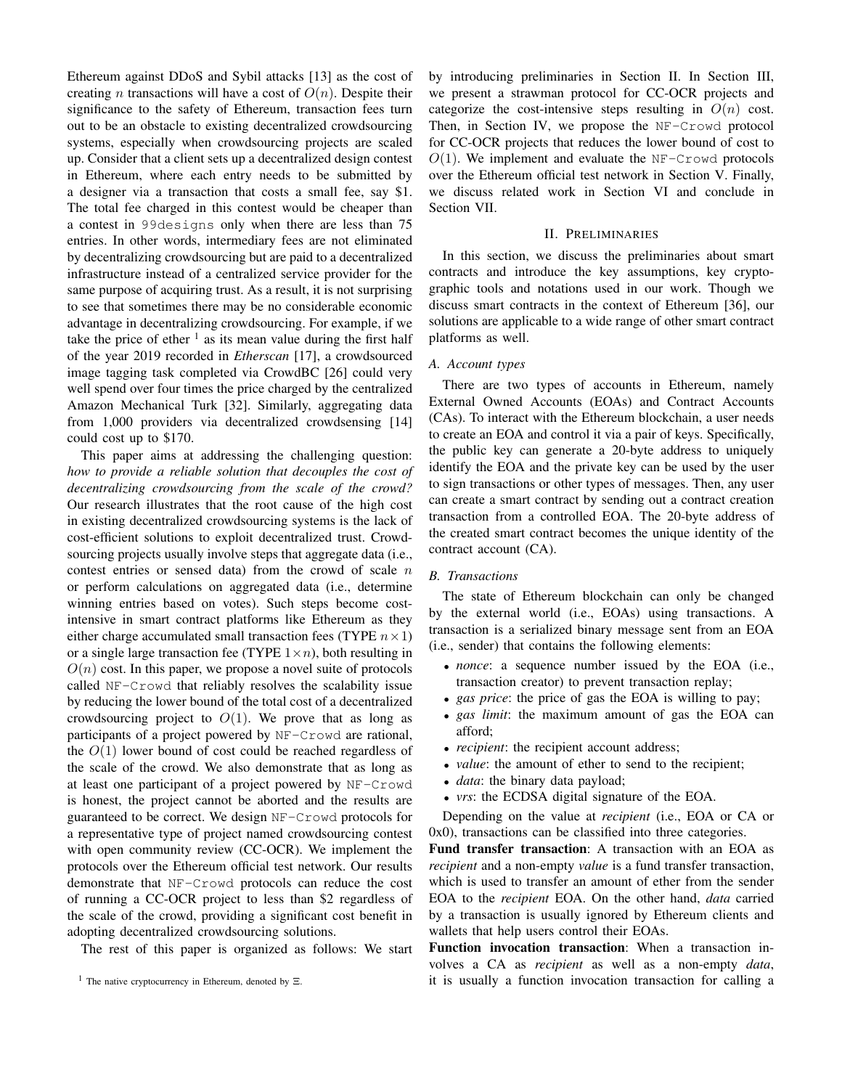Ethereum against DDoS and Sybil attacks [13] as the cost of creating *n* transactions will have a cost of  $O(n)$ . Despite their significance to the safety of Ethereum, transaction fees turn out to be an obstacle to existing decentralized crowdsourcing systems, especially when crowdsourcing projects are scaled up. Consider that a client sets up a decentralized design contest in Ethereum, where each entry needs to be submitted by a designer via a transaction that costs a small fee, say \$1. The total fee charged in this contest would be cheaper than a contest in 99designs only when there are less than 75 entries. In other words, intermediary fees are not eliminated by decentralizing crowdsourcing but are paid to a decentralized infrastructure instead of a centralized service provider for the same purpose of acquiring trust. As a result, it is not surprising to see that sometimes there may be no considerable economic advantage in decentralizing crowdsourcing. For example, if we take the price of ether  $\frac{1}{1}$  as its mean value during the first half of the year 2019 recorded in *Etherscan* [17], a crowdsourced image tagging task completed via CrowdBC [26] could very well spend over four times the price charged by the centralized Amazon Mechanical Turk [32]. Similarly, aggregating data from 1,000 providers via decentralized crowdsensing [14] could cost up to \$170.

This paper aims at addressing the challenging question: *how to provide a reliable solution that decouples the cost of decentralizing crowdsourcing from the scale of the crowd?* Our research illustrates that the root cause of the high cost in existing decentralized crowdsourcing systems is the lack of cost-efficient solutions to exploit decentralized trust. Crowdsourcing projects usually involve steps that aggregate data (i.e., contest entries or sensed data) from the crowd of scale  $n$ or perform calculations on aggregated data (i.e., determine winning entries based on votes). Such steps become costintensive in smart contract platforms like Ethereum as they either charge accumulated small transaction fees (TYPE  $n \times 1$ ) or a single large transaction fee (TYPE  $1 \times n$ ), both resulting in  $O(n)$  cost. In this paper, we propose a novel suite of protocols called NF-Crowd that reliably resolves the scalability issue by reducing the lower bound of the total cost of a decentralized crowdsourcing project to  $O(1)$ . We prove that as long as participants of a project powered by NF-Crowd are rational, the  $O(1)$  lower bound of cost could be reached regardless of the scale of the crowd. We also demonstrate that as long as at least one participant of a project powered by NF-Crowd is honest, the project cannot be aborted and the results are guaranteed to be correct. We design NF-Crowd protocols for a representative type of project named crowdsourcing contest with open community review (CC-OCR). We implement the protocols over the Ethereum official test network. Our results demonstrate that NF-Crowd protocols can reduce the cost of running a CC-OCR project to less than \$2 regardless of the scale of the crowd, providing a significant cost benefit in adopting decentralized crowdsourcing solutions.

The rest of this paper is organized as follows: We start

by introducing preliminaries in Section II. In Section III, we present a strawman protocol for CC-OCR projects and categorize the cost-intensive steps resulting in  $O(n)$  cost. Then, in Section IV, we propose the NF-Crowd protocol for CC-OCR projects that reduces the lower bound of cost to  $O(1)$ . We implement and evaluate the NF-Crowd protocols over the Ethereum official test network in Section V. Finally, we discuss related work in Section VI and conclude in Section VII.

### II. PRELIMINARIES

In this section, we discuss the preliminaries about smart contracts and introduce the key assumptions, key cryptographic tools and notations used in our work. Though we discuss smart contracts in the context of Ethereum [36], our solutions are applicable to a wide range of other smart contract platforms as well.

## *A. Account types*

There are two types of accounts in Ethereum, namely External Owned Accounts (EOAs) and Contract Accounts (CAs). To interact with the Ethereum blockchain, a user needs to create an EOA and control it via a pair of keys. Specifically, the public key can generate a 20-byte address to uniquely identify the EOA and the private key can be used by the user to sign transactions or other types of messages. Then, any user can create a smart contract by sending out a contract creation transaction from a controlled EOA. The 20-byte address of the created smart contract becomes the unique identity of the contract account (CA).

#### *B. Transactions*

The state of Ethereum blockchain can only be changed by the external world (i.e., EOAs) using transactions. A transaction is a serialized binary message sent from an EOA (i.e., sender) that contains the following elements:

- *nonce*: a sequence number issued by the EOA (i.e., transaction creator) to prevent transaction replay;
- *gas price*: the price of gas the EOA is willing to pay;
- *gas limit*: the maximum amount of gas the EOA can afford;
- *recipient*: the recipient account address;
- *value*: the amount of ether to send to the recipient;
- *data*: the binary data payload;
- *vrs*: the ECDSA digital signature of the EOA.

Depending on the value at *recipient* (i.e., EOA or CA or 0x0), transactions can be classified into three categories.

Fund transfer transaction: A transaction with an EOA as *recipient* and a non-empty *value* is a fund transfer transaction, which is used to transfer an amount of ether from the sender EOA to the *recipient* EOA. On the other hand, *data* carried by a transaction is usually ignored by Ethereum clients and wallets that help users control their EOAs.

Function invocation transaction: When a transaction involves a CA as *recipient* as well as a non-empty *data*, it is usually a function invocation transaction for calling a

<sup>&</sup>lt;sup>1</sup> The native cryptocurrency in Ethereum, denoted by  $\Xi$ .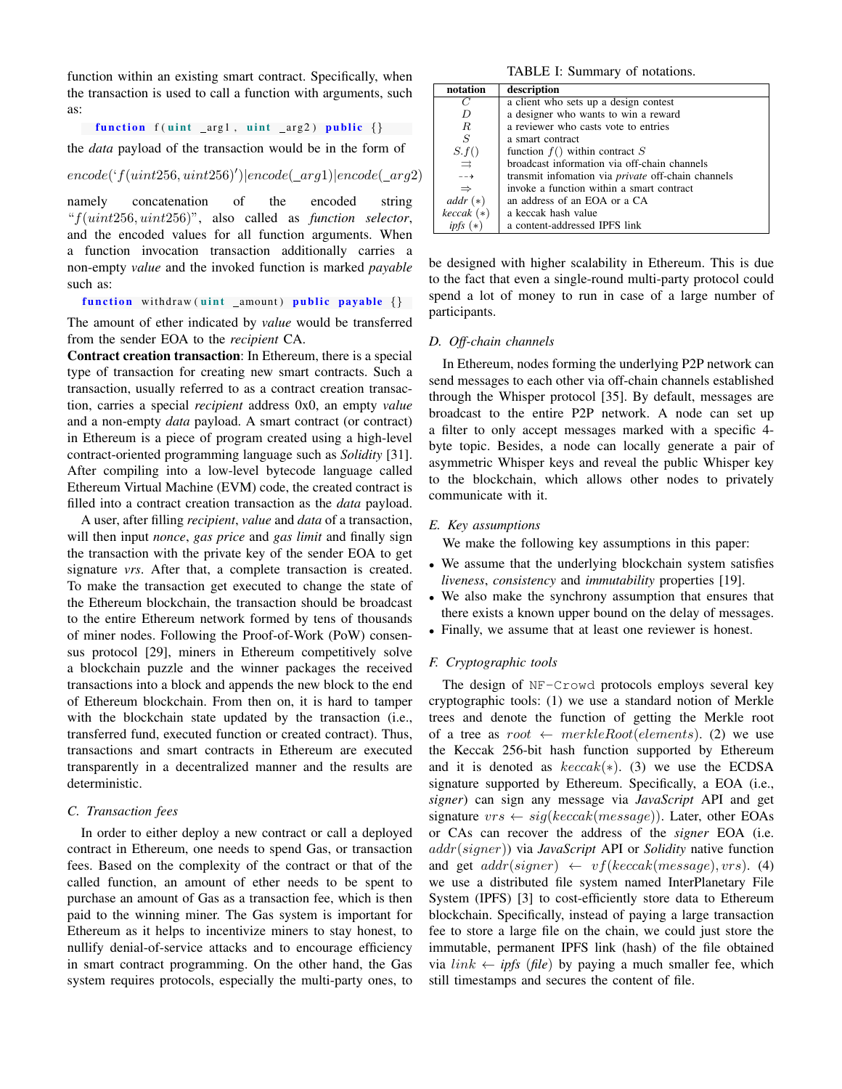function within an existing smart contract. Specifically, when the transaction is used to call a function with arguments, such as:

function  $f$  (uint \_arg1, uint \_arg2) public  $\{\}$ 

the *data* payload of the transaction would be in the form of

 $encode('f(uint256,uint256)')] encode(\_arg1)|encode(\_arg2)$ 

namely concatenation of the encoded string "f(uint256, uint256)", also called as *function selector*, and the encoded values for all function arguments. When a function invocation transaction additionally carries a non-empty *value* and the invoked function is marked *payable* such as:

function withdraw (uint \_amount) public payable  $\{\}$ 

The amount of ether indicated by *value* would be transferred from the sender EOA to the *recipient* CA.

Contract creation transaction: In Ethereum, there is a special type of transaction for creating new smart contracts. Such a transaction, usually referred to as a contract creation transaction, carries a special *recipient* address 0x0, an empty *value* and a non-empty *data* payload. A smart contract (or contract) in Ethereum is a piece of program created using a high-level contract-oriented programming language such as *Solidity* [31]. After compiling into a low-level bytecode language called Ethereum Virtual Machine (EVM) code, the created contract is filled into a contract creation transaction as the *data* payload.

A user, after filling *recipient*, *value* and *data* of a transaction, will then input *nonce*, *gas price* and *gas limit* and finally sign the transaction with the private key of the sender EOA to get signature *vrs*. After that, a complete transaction is created. To make the transaction get executed to change the state of the Ethereum blockchain, the transaction should be broadcast to the entire Ethereum network formed by tens of thousands of miner nodes. Following the Proof-of-Work (PoW) consensus protocol [29], miners in Ethereum competitively solve a blockchain puzzle and the winner packages the received transactions into a block and appends the new block to the end of Ethereum blockchain. From then on, it is hard to tamper with the blockchain state updated by the transaction (i.e., transferred fund, executed function or created contract). Thus, transactions and smart contracts in Ethereum are executed transparently in a decentralized manner and the results are deterministic.

## *C. Transaction fees*

In order to either deploy a new contract or call a deployed contract in Ethereum, one needs to spend Gas, or transaction fees. Based on the complexity of the contract or that of the called function, an amount of ether needs to be spent to purchase an amount of Gas as a transaction fee, which is then paid to the winning miner. The Gas system is important for Ethereum as it helps to incentivize miners to stay honest, to nullify denial-of-service attacks and to encourage efficiency in smart contract programming. On the other hand, the Gas system requires protocols, especially the multi-party ones, to

TABLE I: Summary of notations.

| notation         | description                                               |  |
|------------------|-----------------------------------------------------------|--|
| C                | a client who sets up a design contest                     |  |
| D                | a designer who wants to win a reward                      |  |
| R                | a reviewer who casts vote to entries                      |  |
| S                | a smart contract                                          |  |
| S.f()            | function $f()$ within contract S                          |  |
| $\Rightarrow$    | broadcast information via off-chain channels              |  |
| $-- \rightarrow$ | transmit infomation via <i>private</i> off-chain channels |  |
| $\Rightarrow$    | invoke a function within a smart contract                 |  |
| $addr (*)$       | an address of an EOA or a CA                              |  |
| $keccak$ (*)     | a keccak hash value                                       |  |
|                  | a content-addressed IPFS link                             |  |

be designed with higher scalability in Ethereum. This is due to the fact that even a single-round multi-party protocol could spend a lot of money to run in case of a large number of participants.

## *D. Off-chain channels*

In Ethereum, nodes forming the underlying P2P network can send messages to each other via off-chain channels established through the Whisper protocol [35]. By default, messages are broadcast to the entire P2P network. A node can set up a filter to only accept messages marked with a specific 4 byte topic. Besides, a node can locally generate a pair of asymmetric Whisper keys and reveal the public Whisper key to the blockchain, which allows other nodes to privately communicate with it.

#### *E. Key assumptions*

We make the following key assumptions in this paper:

- We assume that the underlying blockchain system satisfies *liveness*, *consistency* and *immutability* properties [19].
- We also make the synchrony assumption that ensures that there exists a known upper bound on the delay of messages.
- Finally, we assume that at least one reviewer is honest.

#### *F. Cryptographic tools*

The design of NF-Crowd protocols employs several key cryptographic tools: (1) we use a standard notion of Merkle trees and denote the function of getting the Merkle root of a tree as  $root \leftarrow merkleRoot(elements)$ . (2) we use the Keccak 256-bit hash function supported by Ethereum and it is denoted as  $keccak(*)$ . (3) we use the ECDSA signature supported by Ethereum. Specifically, a EOA (i.e., *signer*) can sign any message via *JavaScript* API and get signature  $vrs \leftarrow sig(keccak(message))$ . Later, other EOAs or CAs can recover the address of the *signer* EOA (i.e. addr(signer)) via *JavaScript* API or *Solidity* native function and get  $addr(signer) \leftarrow vf(keccak(message), vrs)$ . (4) we use a distributed file system named InterPlanetary File System (IPFS) [3] to cost-efficiently store data to Ethereum blockchain. Specifically, instead of paying a large transaction fee to store a large file on the chain, we could just store the immutable, permanent IPFS link (hash) of the file obtained via  $link \leftarrow \textit{ipfs}$  (*file*) by paying a much smaller fee, which still timestamps and secures the content of file.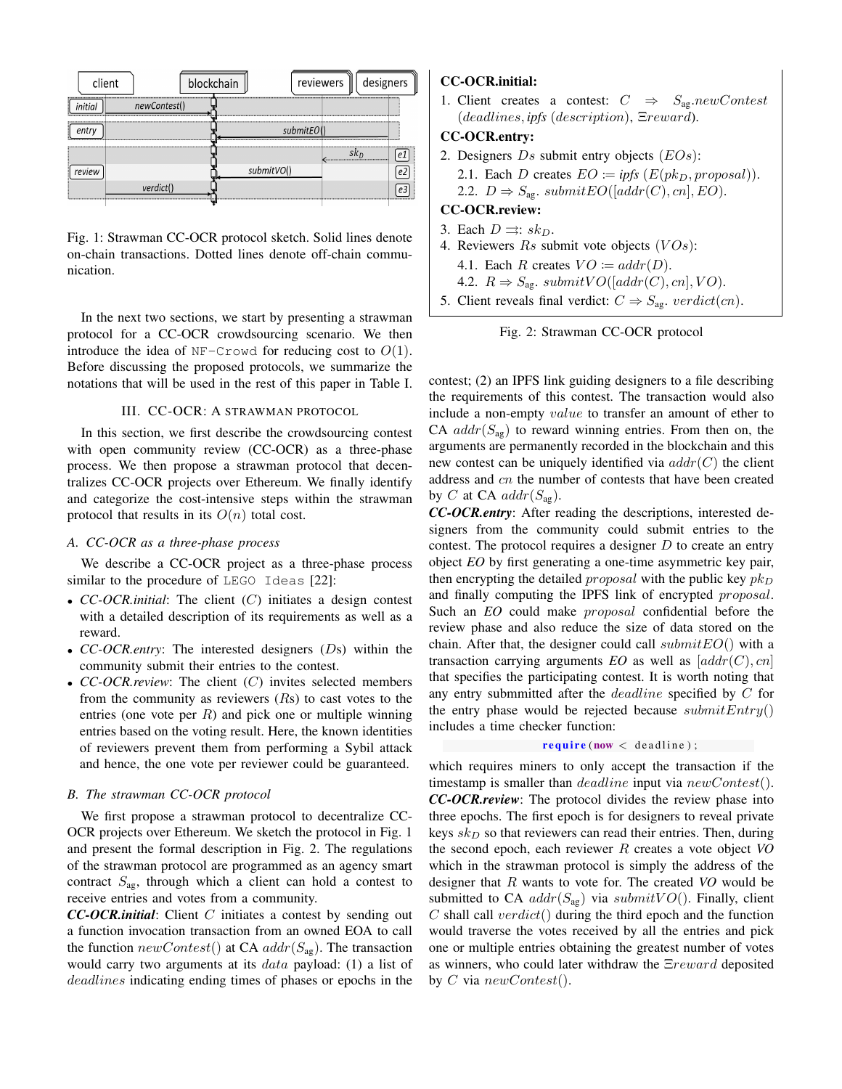

Fig. 1: Strawman CC-OCR protocol sketch. Solid lines denote on-chain transactions. Dotted lines denote off-chain communication.

In the next two sections, we start by presenting a strawman protocol for a CC-OCR crowdsourcing scenario. We then introduce the idea of NF-Crowd for reducing cost to  $O(1)$ . Before discussing the proposed protocols, we summarize the notations that will be used in the rest of this paper in Table I.

## III. CC-OCR: A STRAWMAN PROTOCOL

In this section, we first describe the crowdsourcing contest with open community review (CC-OCR) as a three-phase process. We then propose a strawman protocol that decentralizes CC-OCR projects over Ethereum. We finally identify and categorize the cost-intensive steps within the strawman protocol that results in its  $O(n)$  total cost.

# *A. CC-OCR as a three-phase process*

We describe a CC-OCR project as a three-phase process similar to the procedure of LEGO Ideas [22]:

- *CC-OCR.initial*: The client (C) initiates a design contest with a detailed description of its requirements as well as a reward.
- *CC-OCR.entry*: The interested designers (Ds) within the community submit their entries to the contest.
- *CC-OCR.review*: The client (C) invites selected members from the community as reviewers  $(Rs)$  to cast votes to the entries (one vote per  $R$ ) and pick one or multiple winning entries based on the voting result. Here, the known identities of reviewers prevent them from performing a Sybil attack and hence, the one vote per reviewer could be guaranteed.

## *B. The strawman CC-OCR protocol*

We first propose a strawman protocol to decentralize CC-OCR projects over Ethereum. We sketch the protocol in Fig. 1 and present the formal description in Fig. 2. The regulations of the strawman protocol are programmed as an agency smart contract  $S_{\text{ag}}$ , through which a client can hold a contest to receive entries and votes from a community.

*CC-OCR.initial*: Client C initiates a contest by sending out a function invocation transaction from an owned EOA to call the function  $newContext()$  at CA  $addr(S_{av})$ . The transaction would carry two arguments at its *data* payload: (1) a list of deadlines indicating ending times of phases or epochs in the

# CC-OCR.initial:

1. Client creates a contest:  $C \Rightarrow S_{ag}.newContext$ (deadlines, *ipfs* (description), Ξreward).

# CC-OCR.entry:

- 2. Designers  $Ds$  submit entry objects  $(EOS)$ :
	- 2.1. Each D creates  $EO := *ipfs* (E(*p*k<sub>D</sub>, *proposal*)).$ 2.2.  $D \Rightarrow S_{\text{ag}}$ . submit $EO([addr(C), cn], EO)$ .

# CC-OCR.review:

- 3. Each  $D \rightrightarrows : sk_D$ .
- 4. Reviewers  $Rs$  submit vote objects  $(VOs)$ : 4.1. Each R creates  $VO := \operatorname{addr}(D)$ . 4.2.  $R \Rightarrow S_{\text{ag.}} \text{submit } VO([addr(C), cn], VO)$ .
- 5. Client reveals final verdict:  $C \Rightarrow S_{ag}$ . verdict(cn).



contest; (2) an IPFS link guiding designers to a file describing the requirements of this contest. The transaction would also include a non-empty value to transfer an amount of ether to CA  $addr(S_{ag})$  to reward winning entries. From then on, the arguments are permanently recorded in the blockchain and this new contest can be uniquely identified via  $addr(C)$  the client address and cn the number of contests that have been created by C at CA  $addr(S_{\text{ae}})$ .

*CC-OCR.entry*: After reading the descriptions, interested designers from the community could submit entries to the contest. The protocol requires a designer  $D$  to create an entry object *EO* by first generating a one-time asymmetric key pair, then encrypting the detailed *proposal* with the public key  $pk_D$ and finally computing the IPFS link of encrypted proposal. Such an *EO* could make proposal confidential before the review phase and also reduce the size of data stored on the chain. After that, the designer could call  $submitEO()$  with a transaction carrying arguments  $EO$  as well as  $[addr(C), cn]$ that specifies the participating contest. It is worth noting that any entry submmitted after the deadline specified by C for the entry phase would be rejected because  $submitEntry()$ includes a time checker function:

## $\textbf{require}(\textbf{now} < \textbf{deadline});$

which requires miners to only accept the transaction if the timestamp is smaller than *deadline* input via  $newContext()$ . *CC-OCR.review*: The protocol divides the review phase into three epochs. The first epoch is for designers to reveal private keys  $sk_D$  so that reviewers can read their entries. Then, during the second epoch, each reviewer R creates a vote object *VO* which in the strawman protocol is simply the address of the designer that R wants to vote for. The created *VO* would be submitted to CA  $addr(S_{ag})$  via  $submit VO()$ . Finally, client  $C$  shall call  $verdict()$  during the third epoch and the function would traverse the votes received by all the entries and pick one or multiple entries obtaining the greatest number of votes as winners, who could later withdraw the Ξreward deposited by C via  $newContext()$ .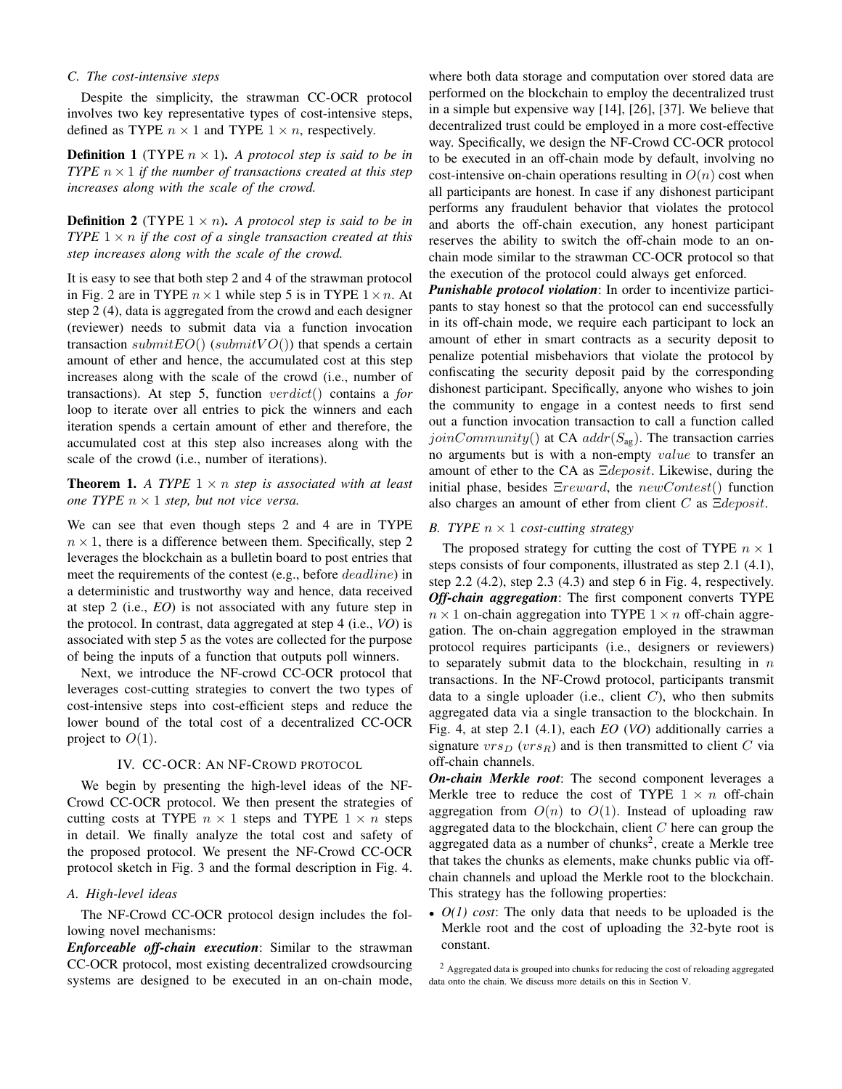## *C. The cost-intensive steps*

Despite the simplicity, the strawman CC-OCR protocol involves two key representative types of cost-intensive steps, defined as TYPE  $n \times 1$  and TYPE  $1 \times n$ , respectively.

**Definition 1** (TYPE  $n \times 1$ ). A protocol step is said to be in *TYPE*  $n \times 1$  *if the number of transactions created at this step increases along with the scale of the crowd.*

**Definition 2** (TYPE  $1 \times n$ ). A protocol step is said to be in *TYPE*  $1 \times n$  *if the cost of a single transaction created at this step increases along with the scale of the crowd.*

It is easy to see that both step 2 and 4 of the strawman protocol in Fig. 2 are in TYPE  $n \times 1$  while step 5 is in TYPE  $1 \times n$ . At step 2 (4), data is aggregated from the crowd and each designer (reviewer) needs to submit data via a function invocation transaction submit $EO()$  (submit $VO()$ ) that spends a certain amount of ether and hence, the accumulated cost at this step increases along with the scale of the crowd (i.e., number of transactions). At step 5, function verdict() contains a *for* loop to iterate over all entries to pick the winners and each iteration spends a certain amount of ether and therefore, the accumulated cost at this step also increases along with the scale of the crowd (i.e., number of iterations).

**Theorem 1.** A TYPE  $1 \times n$  *step is associated with at least one TYPE*  $n \times 1$  *step, but not vice versa.* 

We can see that even though steps 2 and 4 are in TYPE  $n \times 1$ , there is a difference between them. Specifically, step 2 leverages the blockchain as a bulletin board to post entries that meet the requirements of the contest (e.g., before deadline) in a deterministic and trustworthy way and hence, data received at step 2 (i.e., *EO*) is not associated with any future step in the protocol. In contrast, data aggregated at step 4 (i.e., *VO*) is associated with step 5 as the votes are collected for the purpose of being the inputs of a function that outputs poll winners.

Next, we introduce the NF-crowd CC-OCR protocol that leverages cost-cutting strategies to convert the two types of cost-intensive steps into cost-efficient steps and reduce the lower bound of the total cost of a decentralized CC-OCR project to  $O(1)$ .

## IV. CC-OCR: AN NF-CROWD PROTOCOL

We begin by presenting the high-level ideas of the NF-Crowd CC-OCR protocol. We then present the strategies of cutting costs at TYPE  $n \times 1$  steps and TYPE  $1 \times n$  steps in detail. We finally analyze the total cost and safety of the proposed protocol. We present the NF-Crowd CC-OCR protocol sketch in Fig. 3 and the formal description in Fig. 4.

## *A. High-level ideas*

The NF-Crowd CC-OCR protocol design includes the following novel mechanisms:

*Enforceable off-chain execution*: Similar to the strawman CC-OCR protocol, most existing decentralized crowdsourcing systems are designed to be executed in an on-chain mode,

where both data storage and computation over stored data are performed on the blockchain to employ the decentralized trust in a simple but expensive way [14], [26], [37]. We believe that decentralized trust could be employed in a more cost-effective way. Specifically, we design the NF-Crowd CC-OCR protocol to be executed in an off-chain mode by default, involving no cost-intensive on-chain operations resulting in  $O(n)$  cost when all participants are honest. In case if any dishonest participant performs any fraudulent behavior that violates the protocol and aborts the off-chain execution, any honest participant reserves the ability to switch the off-chain mode to an onchain mode similar to the strawman CC-OCR protocol so that the execution of the protocol could always get enforced.

*Punishable protocol violation*: In order to incentivize participants to stay honest so that the protocol can end successfully in its off-chain mode, we require each participant to lock an amount of ether in smart contracts as a security deposit to penalize potential misbehaviors that violate the protocol by confiscating the security deposit paid by the corresponding dishonest participant. Specifically, anyone who wishes to join the community to engage in a contest needs to first send out a function invocation transaction to call a function called joinCommunity() at CA  $addr(S_{ag})$ . The transaction carries no arguments but is with a non-empty value to transfer an amount of ether to the CA as Ξdeposit. Likewise, during the initial phase, besides  $Ereward$ , the  $newContext()$  function also charges an amount of ether from client C as  $\Xi$ *deposit*.

## *B. TYPE*  $n \times 1$  *cost-cutting strategy*

The proposed strategy for cutting the cost of TYPE  $n \times 1$ steps consists of four components, illustrated as step 2.1 (4.1), step 2.2 (4.2), step 2.3 (4.3) and step 6 in Fig. 4, respectively. *Off-chain aggregation*: The first component converts TYPE  $n \times 1$  on-chain aggregation into TYPE  $1 \times n$  off-chain aggregation. The on-chain aggregation employed in the strawman protocol requires participants (i.e., designers or reviewers) to separately submit data to the blockchain, resulting in  $n$ transactions. In the NF-Crowd protocol, participants transmit data to a single uploader (i.e., client  $C$ ), who then submits aggregated data via a single transaction to the blockchain. In Fig. 4, at step 2.1 (4.1), each *EO* (*VO*) additionally carries a signature  $vrs_D$  ( $vrs_R$ ) and is then transmitted to client C via off-chain channels.

*On-chain Merkle root*: The second component leverages a Merkle tree to reduce the cost of TYPE  $1 \times n$  off-chain aggregation from  $O(n)$  to  $O(1)$ . Instead of uploading raw aggregated data to the blockchain, client  $C$  here can group the aggregated data as a number of chunks<sup>2</sup>, create a Merkle tree that takes the chunks as elements, make chunks public via offchain channels and upload the Merkle root to the blockchain. This strategy has the following properties:

• *O(1) cost*: The only data that needs to be uploaded is the Merkle root and the cost of uploading the 32-byte root is constant.

<sup>&</sup>lt;sup>2</sup> Aggregated data is grouped into chunks for reducing the cost of reloading aggregated data onto the chain. We discuss more details on this in Section V.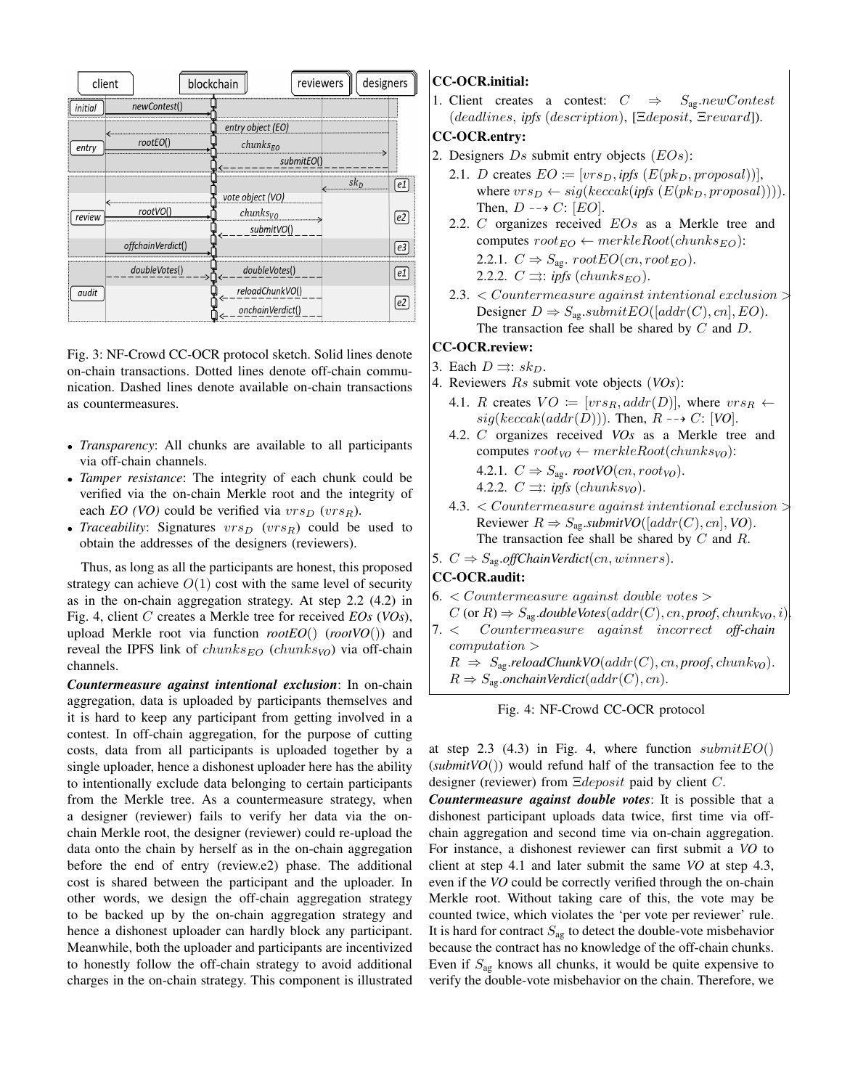

Fig. 3: NF-Crowd CC-OCR protocol sketch. Solid lines denote on-chain transactions. Dotted lines denote off-chain communication. Dashed lines denote available on-chain transactions as countermeasures.

- *Transparency*: All chunks are available to all participants via off-chain channels.
- *Tamper resistance*: The integrity of each chunk could be verified via the on-chain Merkle root and the integrity of each *EO* (*VO*) could be verified via  $vrs_D$  ( $vrs_R$ ).
- *Traceability:* Signatures  $vrs_D$  ( $vrs_R$ ) could be used to obtain the addresses of the designers (reviewers).

Thus, as long as all the participants are honest, this proposed strategy can achieve  $O(1)$  cost with the same level of security as in the on-chain aggregation strategy. At step 2.2 (4.2) in Fig. 4, client C creates a Merkle tree for received *EOs* (*VOs*), upload Merkle root via function *rootEO*() (*rootVO*()) and reveal the IPFS link of  $chunks_{EO}$  ( $chunks_{VO}$ ) via off-chain channels.

*Countermeasure against intentional exclusion*: In on-chain aggregation, data is uploaded by participants themselves and it is hard to keep any participant from getting involved in a contest. In off-chain aggregation, for the purpose of cutting costs, data from all participants is uploaded together by a single uploader, hence a dishonest uploader here has the ability to intentionally exclude data belonging to certain participants from the Merkle tree. As a countermeasure strategy, when a designer (reviewer) fails to verify her data via the onchain Merkle root, the designer (reviewer) could re-upload the data onto the chain by herself as in the on-chain aggregation before the end of entry (review.e2) phase. The additional cost is shared between the participant and the uploader. In other words, we design the off-chain aggregation strategy to be backed up by the on-chain aggregation strategy and hence a dishonest uploader can hardly block any participant. Meanwhile, both the uploader and participants are incentivized to honestly follow the off-chain strategy to avoid additional charges in the on-chain strategy. This component is illustrated

# CC-OCR.initial:

1. Client creates a contest:  $C \Rightarrow S_{ag}.newContext$ (deadlines, *ipfs* (description), [Ξdeposit, Ξreward]).

# CC-OCR.entry:

- 2. Designers  $Ds$  submit entry objects  $(EOS)$ :
	- 2.1. *D* creates  $EO := [vrs_D, \text{ipfs } (E(\text{pk}_D, \text{proposal}))],$ where  $vrs_D \leftarrow sig(keccak(ipfs(E(pk_D, proposal))))$ . Then,  $D \dashrightarrow C: [EO].$
	- 2.2.  $C$  organizes received  $EOs$  as a Merkle tree and computes  $root_{EO} \leftarrow merkleRoot(chunks_{EO})$ : 2.2.1.  $C \Rightarrow S_{\text{ag}}$ .  $rootEO(cn, root_{EO})$ . 2.2.2.  $C \rightrightarrows: \textit{ipfs}$  (chunks<sub>EO</sub>).
	- 2.3. < Countermeasure against intentional exclusion > Designer  $D \Rightarrow S_{\text{ag}}.submitEO([addr(C), cn], EO)$ . The transaction fee shall be shared by  $C$  and  $D$ .

# CC-OCR.review:

- 3. Each  $D \rightrightarrows : sk_D$ .
- 4. Reviewers Rs submit vote objects (*VOs*):
	- 4.1. R creates  $VO := [vrs_R, addr(D)]$ , where  $vrs_R \leftarrow$  $sig(keccak(addr(D)))$ . Then,  $R \rightarrow C$ : [*VO*].
	- 4.2. C organizes received *VOs* as a Merkle tree and computes  $root_{VO} \leftarrow merkleRoot(chunks_{VO}))$ :

4.2.1. 
$$
C \Rightarrow S_{\text{ag.}} \text{root} \text{VO}(cn, root_{\text{VO}})
$$
.

- 4.2.2.  $C \rightrightarrows: \textit{ipfs}$  (chunks<sub>VO</sub>).
- 4.3. < Countermeasure against intentional exclusion > Reviewer  $R \Rightarrow S_{\text{ag}}. \text{submit VO}([addr(C), cn], VO)$ . The transaction fee shall be shared by  $C$  and  $R$ .
- 5.  $C \Rightarrow S_{\text{ag}}.$ *offChainVerdict*(*cn*, *winners*).

# CC-OCR.audit:

- $6. < Countermeasure against double votes >$
- $C$  (or  $R$ )  $\Rightarrow$   $S_{\text{ag}}$ *doubleVotes*( $addr(C)$ ,  $cn$ ,  $proof$ ,  $chunk<sub>VO</sub>$ ,  $i)$ .
- 7. < Countermeasure against incorrect *off-chain* computation >
	- $R \Rightarrow S_{\text{ag}}$ *reloadChunkVO*( $addr(C)$ ,  $cn$ ,  $proof$ ,  $chunk_{VO})$ .
	- $R \Rightarrow S_{\text{ag}}.$ onchainVerdict( $addr(C), cn$ ).

Fig. 4: NF-Crowd CC-OCR protocol

at step 2.3 (4.3) in Fig. 4, where function  $submitEO()$ (*submitVO*()) would refund half of the transaction fee to the designer (reviewer) from Ξdeposit paid by client C.

*Countermeasure against double votes*: It is possible that a dishonest participant uploads data twice, first time via offchain aggregation and second time via on-chain aggregation. For instance, a dishonest reviewer can first submit a *VO* to client at step 4.1 and later submit the same *VO* at step 4.3, even if the *VO* could be correctly verified through the on-chain Merkle root. Without taking care of this, the vote may be counted twice, which violates the 'per vote per reviewer' rule. It is hard for contract  $S_{\text{a}g}$  to detect the double-vote misbehavior because the contract has no knowledge of the off-chain chunks. Even if  $S_{\text{ag}}$  knows all chunks, it would be quite expensive to verify the double-vote misbehavior on the chain. Therefore, we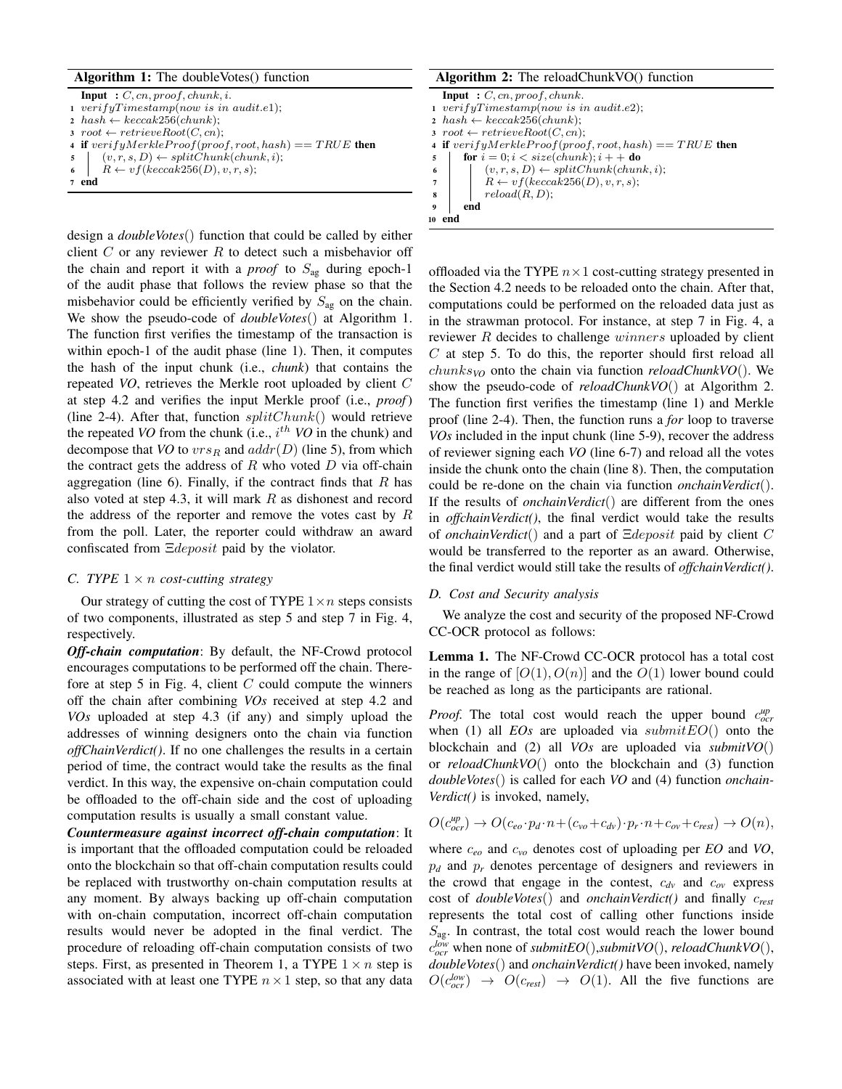# Algorithm 1: The doubleVotes() function

| <b>Input</b> : $C$ , $cn$ , proof, chunk, i.                  |
|---------------------------------------------------------------|
| $1 \, verifyTimestamp(now \, is \, in \, audit.e1);$          |
| $2 \ \ \nhash \leftarrow keccak256(chunk);$                   |
| $: root \leftarrow retrieveRoot(C, cn);$                      |
| 4 if $verifyMerkleProof(root, root, hash) == TRUE$ then       |
| $\mathfrak{s} \mid (v,r,s,D) \leftarrow splitChunk(chunk,i);$ |
| 6   $R \leftarrow vf(keccak256(D), v, r, s);$                 |
| $7$ end                                                       |

design a *doubleVotes*() function that could be called by either client  $C$  or any reviewer  $R$  to detect such a misbehavior off the chain and report it with a *proof* to  $S_{\text{ag}}$  during epoch-1 of the audit phase that follows the review phase so that the misbehavior could be efficiently verified by  $S_{\text{ag}}$  on the chain. We show the pseudo-code of *doubleVotes*() at Algorithm 1. The function first verifies the timestamp of the transaction is within epoch-1 of the audit phase (line 1). Then, it computes the hash of the input chunk (i.e., *chunk*) that contains the repeated *VO*, retrieves the Merkle root uploaded by client C at step 4.2 and verifies the input Merkle proof (i.e., *proof*) (line 2-4). After that, function  $splitChunk()$  would retrieve the repeated *VO* from the chunk (i.e.,  $i^{th}$  *VO* in the chunk) and decompose that *VO* to  $vrs_R$  and  $addr(D)$  (line 5), from which the contract gets the address of  $R$  who voted  $D$  via off-chain aggregation (line 6). Finally, if the contract finds that  $R$  has also voted at step 4.3, it will mark  $R$  as dishonest and record the address of the reporter and remove the votes cast by  $R$ from the poll. Later, the reporter could withdraw an award confiscated from Ξdeposit paid by the violator.

## *C. TYPE*  $1 \times n$  *cost-cutting strategy*

Our strategy of cutting the cost of TYPE  $1 \times n$  steps consists of two components, illustrated as step 5 and step 7 in Fig. 4, respectively.

*Off-chain computation*: By default, the NF-Crowd protocol encourages computations to be performed off the chain. Therefore at step 5 in Fig. 4, client  $C$  could compute the winners off the chain after combining *VOs* received at step 4.2 and *VOs* uploaded at step 4.3 (if any) and simply upload the addresses of winning designers onto the chain via function *offChainVerdict()*. If no one challenges the results in a certain period of time, the contract would take the results as the final verdict. In this way, the expensive on-chain computation could be offloaded to the off-chain side and the cost of uploading computation results is usually a small constant value.

*Countermeasure against incorrect off-chain computation*: It is important that the offloaded computation could be reloaded onto the blockchain so that off-chain computation results could be replaced with trustworthy on-chain computation results at any moment. By always backing up off-chain computation with on-chain computation, incorrect off-chain computation results would never be adopted in the final verdict. The procedure of reloading off-chain computation consists of two steps. First, as presented in Theorem 1, a TYPE  $1 \times n$  step is associated with at least one TYPE  $n \times 1$  step, so that any data

## Algorithm 2: The reloadChunkVO() function

```
Input : C, cn, proof, chunk.
1 verify Timestamp(now is in audit.e2);
2 hash \leftarrow keccak256(chunk);3 root \leftarrow retrieveRoot(C, cn);4 if verifyMerkleProof(root, root, hash) == TRUE then
5 for i = 0; i < size(chunk); i++ do
           (v, r, s, D) \leftarrow splitChunk(chark, i);7 | R \leftarrow vf(keccak256(D), v, r, s);\mathbf{s} | reload(R, D);9 end
10 end
```
offloaded via the TYPE  $n \times 1$  cost-cutting strategy presented in the Section 4.2 needs to be reloaded onto the chain. After that, computations could be performed on the reloaded data just as in the strawman protocol. For instance, at step 7 in Fig. 4, a reviewer R decides to challenge winners uploaded by client C at step 5. To do this, the reporter should first reload all chunks*VO* onto the chain via function *reloadChunkVO*(). We show the pseudo-code of *reloadChunkVO*() at Algorithm 2. The function first verifies the timestamp (line 1) and Merkle proof (line 2-4). Then, the function runs a *for* loop to traverse *VOs* included in the input chunk (line 5-9), recover the address of reviewer signing each *VO* (line 6-7) and reload all the votes inside the chunk onto the chain (line 8). Then, the computation could be re-done on the chain via function *onchainVerdict*(). If the results of *onchainVerdict*() are different from the ones in *offchainVerdict()*, the final verdict would take the results of *onchainVerdict*() and a part of Ξdeposit paid by client C would be transferred to the reporter as an award. Otherwise, the final verdict would still take the results of *offchainVerdict()*.

#### *D. Cost and Security analysis*

We analyze the cost and security of the proposed NF-Crowd CC-OCR protocol as follows:

Lemma 1. The NF-Crowd CC-OCR protocol has a total cost in the range of  $[O(1), O(n)]$  and the  $O(1)$  lower bound could be reached as long as the participants are rational.

*Proof.* The total cost would reach the upper bound  $c_{ocr}^{up}$ when (1) all *EOs* are uploaded via  $submitEO()$  onto the blockchain and (2) all *VOs* are uploaded via *submitVO*() or *reloadChunkVO*() onto the blockchain and (3) function *doubleVotes*() is called for each *VO* and (4) function *onchain-Verdict()* is invoked, namely,

$$
O(c_{ocr}^{\mu p}) \to O(c_{eo} \cdot p_d \cdot n + (c_{vo} + c_{dv}) \cdot p_r \cdot n + c_{ov} + c_{rest}) \to O(n),
$$

where c*eo* and c*vo* denotes cost of uploading per *EO* and *VO*, p*<sup>d</sup>* and p*<sup>r</sup>* denotes percentage of designers and reviewers in the crowd that engage in the contest, c*dv* and c*ov* express cost of *doubleVotes*() and *onchainVerdict()* and finally c*rest* represents the total cost of calling other functions inside  $S_{\text{as}}$ . In contrast, the total cost would reach the lower bound c *low ocr* when none of *submitEO*(),*submitVO*(), *reloadChunkVO*(), *doubleVotes*() and *onchainVerdict()* have been invoked, namely  $O(c_{ocr}^{low}) \rightarrow O(c_{rest}) \rightarrow O(1)$ . All the five functions are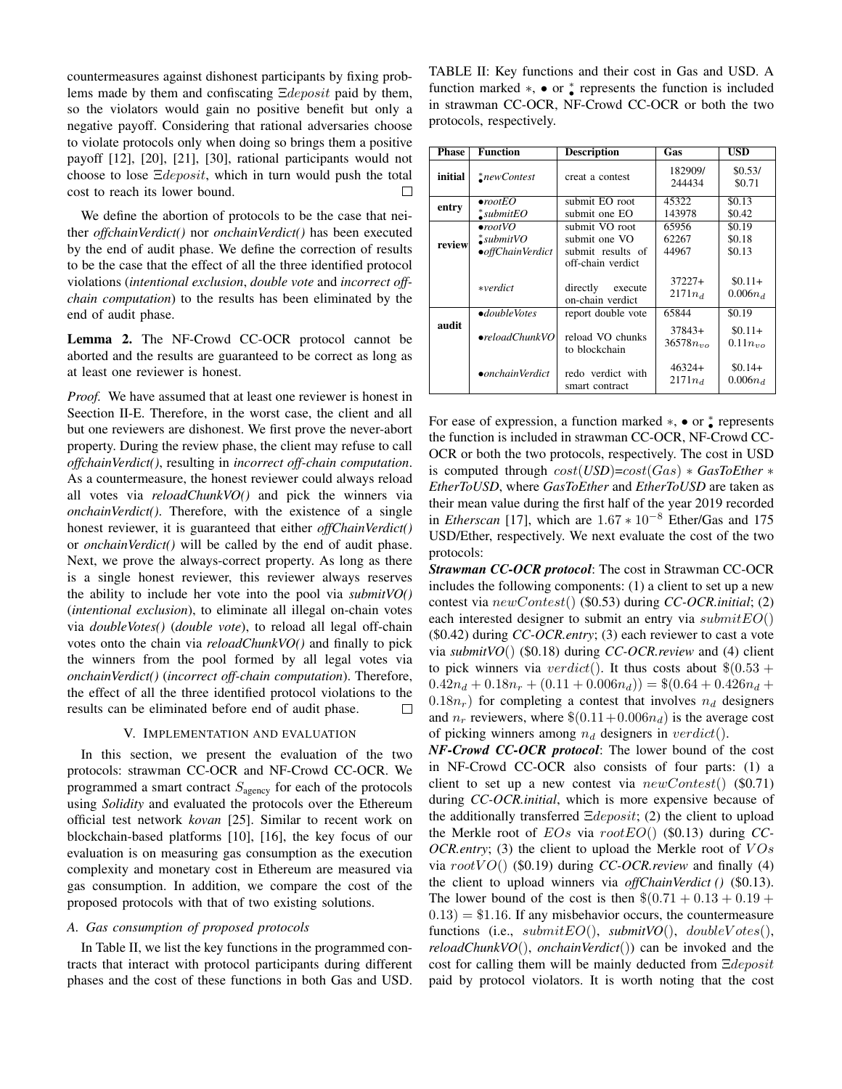countermeasures against dishonest participants by fixing problems made by them and confiscating  $\Xi$ *deposit* paid by them, so the violators would gain no positive benefit but only a negative payoff. Considering that rational adversaries choose to violate protocols only when doing so brings them a positive payoff [12], [20], [21], [30], rational participants would not choose to lose Ξdeposit, which in turn would push the total cost to reach its lower bound.  $\Box$ 

We define the abortion of protocols to be the case that neither *offchainVerdict()* nor *onchainVerdict()* has been executed by the end of audit phase. We define the correction of results to be the case that the effect of all the three identified protocol violations (*intentional exclusion*, *double vote* and *incorrect offchain computation*) to the results has been eliminated by the end of audit phase.

Lemma 2. The NF-Crowd CC-OCR protocol cannot be aborted and the results are guaranteed to be correct as long as at least one reviewer is honest.

*Proof.* We have assumed that at least one reviewer is honest in Seection II-E. Therefore, in the worst case, the client and all but one reviewers are dishonest. We first prove the never-abort property. During the review phase, the client may refuse to call *offchainVerdict()*, resulting in *incorrect off-chain computation*. As a countermeasure, the honest reviewer could always reload all votes via *reloadChunkVO()* and pick the winners via *onchainVerdict()*. Therefore, with the existence of a single honest reviewer, it is guaranteed that either *offChainVerdict()* or *onchainVerdict()* will be called by the end of audit phase. Next, we prove the always-correct property. As long as there is a single honest reviewer, this reviewer always reserves the ability to include her vote into the pool via *submitVO()* (*intentional exclusion*), to eliminate all illegal on-chain votes via *doubleVotes()* (*double vote*), to reload all legal off-chain votes onto the chain via *reloadChunkVO()* and finally to pick the winners from the pool formed by all legal votes via *onchainVerdict()* (*incorrect off-chain computation*). Therefore, the effect of all the three identified protocol violations to the results can be eliminated before end of audit phase.  $\Box$ 

# V. IMPLEMENTATION AND EVALUATION

In this section, we present the evaluation of the two protocols: strawman CC-OCR and NF-Crowd CC-OCR. We programmed a smart contract  $S_{\text{agency}}$  for each of the protocols using *Solidity* and evaluated the protocols over the Ethereum official test network *kovan* [25]. Similar to recent work on blockchain-based platforms [10], [16], the key focus of our evaluation is on measuring gas consumption as the execution complexity and monetary cost in Ethereum are measured via gas consumption. In addition, we compare the cost of the proposed protocols with that of two existing solutions.

# *A. Gas consumption of proposed protocols*

In Table II, we list the key functions in the programmed contracts that interact with protocol participants during different phases and the cost of these functions in both Gas and USD. TABLE II: Key functions and their cost in Gas and USD. A function marked  $\ast$ ,  $\bullet$  or  $\ast$  represents the function is included in strawman CC-OCR, NF-Crowd CC-OCR or both the two protocols, respectively.

| <b>Phase</b> | <b>Function</b>                                                   | <b>Description</b>                                                        | Gas                                | USD                                |
|--------------|-------------------------------------------------------------------|---------------------------------------------------------------------------|------------------------------------|------------------------------------|
| initial      | $\sum$ newContest                                                 | creat a contest                                                           | 182909/<br>244434                  | \$0.53/<br>\$0.71                  |
| entry        | $\bullet$ rootEO<br>$\triangleq$ submitEO                         | submit EO root<br>submit one EO                                           | 45322<br>143978                    | \$0.13<br>\$0.42                   |
| review       | $\bullet$ rootVO<br>$\triangleq$ submit $VO$<br>• offChainVerdict | submit VO root<br>submit one VO<br>submit results of<br>off-chain verdict | 65956<br>62267<br>44967            | \$0.19<br>\$0.18<br>\$0.13         |
|              | $*verdict$                                                        | directly<br>execute<br>on-chain verdict                                   | $37227+$<br>$2171n_d$              | $$0.11+$<br>$0.006n_d$             |
| audit        | $\bullet$ doubleVotes<br>$\bullet$ reloadChunkVO                  | report double vote<br>reload VO chunks<br>to blockchain                   | 65844<br>$37843+$<br>$36578n_{vo}$ | \$0.19<br>$$0.11+$<br>$0.11n_{vo}$ |
|              | $\bullet$ onchainVerdict                                          | redo verdict with<br>smart contract                                       | $46324+$<br>$2171n_d$              | $$0.14+$<br>$0.006n_d$             |

For ease of expression, a function marked  $\ast$ ,  $\bullet$  or  $\underset{\bullet}{\ast}$  represents the function is included in strawman CC-OCR, NF-Crowd CC-OCR or both the two protocols, respectively. The cost in USD is computed through cost(*USD*)=cost(Gas) ∗ *GasToEther* ∗ *EtherToUSD*, where *GasToEther* and *EtherToUSD* are taken as their mean value during the first half of the year 2019 recorded in *Etherscan* [17], which are 1.67 ∗ 10<sup>−</sup><sup>8</sup> Ether/Gas and 175 USD/Ether, respectively. We next evaluate the cost of the two protocols:

*Strawman CC-OCR protocol*: The cost in Strawman CC-OCR includes the following components: (1) a client to set up a new contest via newContest() (\$0.53) during *CC-OCR.initial*; (2) each interested designer to submit an entry via  $submitEO()$ (\$0.42) during *CC-OCR.entry*; (3) each reviewer to cast a vote via *submitVO*() (\$0.18) during *CC-OCR.review* and (4) client to pick winners via  $verdict()$ . It thus costs about  $\$(0.53 +$  $0.42n_d + 0.18n_r + (0.11 + 0.006n_d)) = $(0.64 + 0.426n_d +$  $(0.18n<sub>r</sub>)$  for completing a contest that involves  $n<sub>d</sub>$  designers and  $n_r$  reviewers, where  $\$(0.11+0.006n_d)$  is the average cost of picking winners among  $n_d$  designers in  $verdict()$ .

*NF-Crowd CC-OCR protocol*: The lower bound of the cost in NF-Crowd CC-OCR also consists of four parts: (1) a client to set up a new contest via  $newContext()$  (\$0.71) during *CC-OCR.initial*, which is more expensive because of the additionally transferred  $\Xi deposit$ ; (2) the client to upload the Merkle root of EOs via rootEO() (\$0.13) during *CC-OCR.entry*; (3) the client to upload the Merkle root of  $VOs$ via  $rootVO()$  (\$0.19) during *CC-OCR.review* and finally (4) the client to upload winners via *offChainVerdict ()* (\$0.13). The lower bound of the cost is then  $\$(0.71 + 0.13 + 0.19 +$  $(0.13) = $1.16$ . If any misbehavior occurs, the countermeasure functions (i.e.,  $submitEO()$ ,  $submit VO()$ ,  $doubleVotes()$ , *reloadChunkVO*(), *onchainVerdict*()) can be invoked and the cost for calling them will be mainly deducted from Ξdeposit paid by protocol violators. It is worth noting that the cost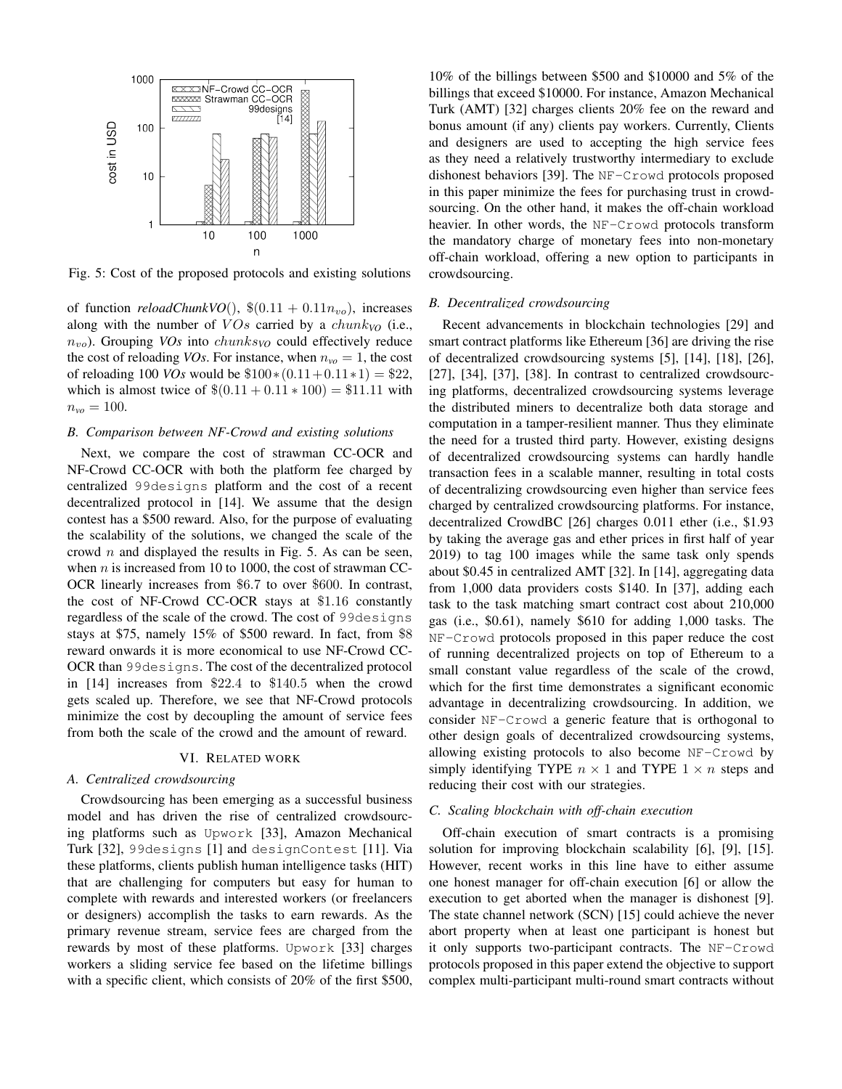

Fig. 5: Cost of the proposed protocols and existing solutions

of function  $reloadChunkVO()$ ,  $$(0.11 + 0.11n_{vo})$ , increases along with the number of  $VOs$  carried by a  $chunk_{VO}$  (i.e.,  $n_{vo}$ ). Grouping *VOs* into *chunks* $vo$  could effectively reduce the cost of reloading *VOs*. For instance, when  $n_{vo} = 1$ , the cost of reloading 100 *VOs* would be  $$100*(0.11+0.11*1) = $22$ , which is almost twice of  $$(0.11 + 0.11 * 100) = $11.11$  with  $n_{vo} = 100.$ 

## *B. Comparison between NF-Crowd and existing solutions*

Next, we compare the cost of strawman CC-OCR and NF-Crowd CC-OCR with both the platform fee charged by centralized 99designs platform and the cost of a recent decentralized protocol in [14]. We assume that the design contest has a \$500 reward. Also, for the purpose of evaluating the scalability of the solutions, we changed the scale of the crowd  $n$  and displayed the results in Fig. 5. As can be seen, when  $n$  is increased from 10 to 1000, the cost of strawman CC-OCR linearly increases from \$6.7 to over \$600. In contrast, the cost of NF-Crowd CC-OCR stays at \$1.16 constantly regardless of the scale of the crowd. The cost of 99designs stays at \$75, namely 15% of \$500 reward. In fact, from \$8 reward onwards it is more economical to use NF-Crowd CC-OCR than 99designs. The cost of the decentralized protocol in [14] increases from \$22.4 to \$140.5 when the crowd gets scaled up. Therefore, we see that NF-Crowd protocols minimize the cost by decoupling the amount of service fees from both the scale of the crowd and the amount of reward.

## VI. RELATED WORK

## *A. Centralized crowdsourcing*

Crowdsourcing has been emerging as a successful business model and has driven the rise of centralized crowdsourcing platforms such as Upwork [33], Amazon Mechanical Turk [32], 99designs [1] and designContest [11]. Via these platforms, clients publish human intelligence tasks (HIT) that are challenging for computers but easy for human to complete with rewards and interested workers (or freelancers or designers) accomplish the tasks to earn rewards. As the primary revenue stream, service fees are charged from the rewards by most of these platforms. Upwork [33] charges workers a sliding service fee based on the lifetime billings with a specific client, which consists of 20% of the first \$500,

10% of the billings between \$500 and \$10000 and 5% of the billings that exceed \$10000. For instance, Amazon Mechanical Turk (AMT) [32] charges clients 20% fee on the reward and bonus amount (if any) clients pay workers. Currently, Clients and designers are used to accepting the high service fees as they need a relatively trustworthy intermediary to exclude dishonest behaviors [39]. The NF-Crowd protocols proposed in this paper minimize the fees for purchasing trust in crowdsourcing. On the other hand, it makes the off-chain workload heavier. In other words, the NF-Crowd protocols transform the mandatory charge of monetary fees into non-monetary off-chain workload, offering a new option to participants in crowdsourcing.

## *B. Decentralized crowdsourcing*

Recent advancements in blockchain technologies [29] and smart contract platforms like Ethereum [36] are driving the rise of decentralized crowdsourcing systems [5], [14], [18], [26], [27], [34], [37], [38]. In contrast to centralized crowdsourcing platforms, decentralized crowdsourcing systems leverage the distributed miners to decentralize both data storage and computation in a tamper-resilient manner. Thus they eliminate the need for a trusted third party. However, existing designs of decentralized crowdsourcing systems can hardly handle transaction fees in a scalable manner, resulting in total costs of decentralizing crowdsourcing even higher than service fees charged by centralized crowdsourcing platforms. For instance, decentralized CrowdBC [26] charges 0.011 ether (i.e., \$1.93 by taking the average gas and ether prices in first half of year 2019) to tag 100 images while the same task only spends about \$0.45 in centralized AMT [32]. In [14], aggregating data from 1,000 data providers costs \$140. In [37], adding each task to the task matching smart contract cost about 210,000 gas (i.e., \$0.61), namely \$610 for adding 1,000 tasks. The NF-Crowd protocols proposed in this paper reduce the cost of running decentralized projects on top of Ethereum to a small constant value regardless of the scale of the crowd, which for the first time demonstrates a significant economic advantage in decentralizing crowdsourcing. In addition, we consider NF-Crowd a generic feature that is orthogonal to other design goals of decentralized crowdsourcing systems, allowing existing protocols to also become NF-Crowd by simply identifying TYPE  $n \times 1$  and TYPE  $1 \times n$  steps and reducing their cost with our strategies.

## *C. Scaling blockchain with off-chain execution*

Off-chain execution of smart contracts is a promising solution for improving blockchain scalability [6], [9], [15]. However, recent works in this line have to either assume one honest manager for off-chain execution [6] or allow the execution to get aborted when the manager is dishonest [9]. The state channel network (SCN) [15] could achieve the never abort property when at least one participant is honest but it only supports two-participant contracts. The NF-Crowd protocols proposed in this paper extend the objective to support complex multi-participant multi-round smart contracts without